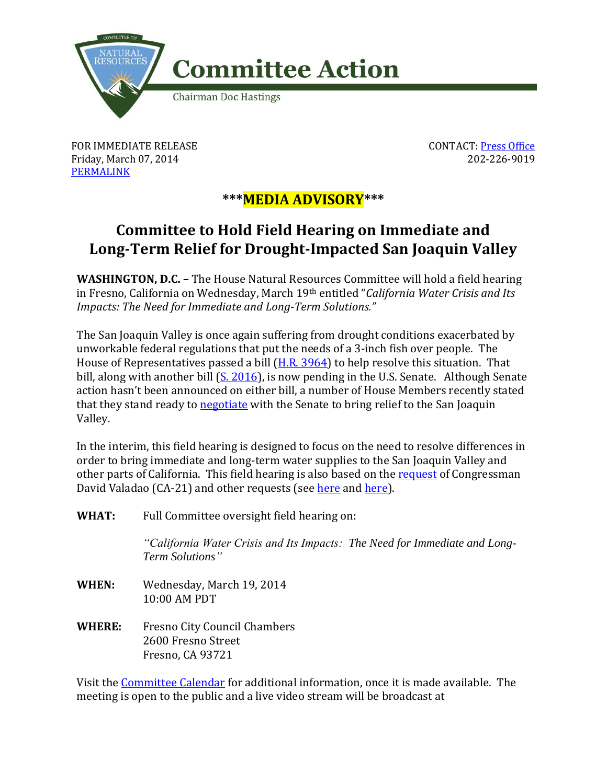

FOR IMMEDIATE RELEASE Friday, March 07, 2014 [PERMALINK](http://naturalresources.house.gov/news/documentsingle.aspx?DocumentID=372163)

CONTACT: [Press Office](http://naturalresources.house.gov/contact/media.htm) 202-226-9019

## **\*\*\*MEDIA ADVISORY\*\*\***

## **Committee to Hold Field Hearing on Immediate and Long-Term Relief for Drought-Impacted San Joaquin Valley**

**WASHINGTON, D.C. –** The House Natural Resources Committee will hold a field hearing in Fresno, California on Wednesday, March 19th entitled "*California Water Crisis and Its Impacts: The Need for Immediate and Long-Term Solutions."*

The San Joaquin Valley is once again suffering from drought conditions exacerbated by unworkable federal regulations that put the needs of a 3-inch fish over people. The House of Representatives passed a bill [\(H.R. 3964\)](http://naturalresources.house.gov/legislation/?legislationid=368383) to help resolve this situation. That bill, along with another bill  $(S. 2016)$ , is now pending in the U.S. Senate. Although Senate action hasn't been announced on either bill, a number of House Members recently stated that they stand ready to [negotiate](http://valadao.house.gov/news/documentsingle.aspx?DocumentID=371276) with the Senate to bring relief to the San Joaquin Valley.

In the interim, this field hearing is designed to focus on the need to resolve differences in order to bring immediate and long-term water supplies to the San Joaquin Valley and other parts of California. This field hearing is also based on the [request](http://naturalresources.house.gov/UploadedFiles/CA_Central_Valley_Hearing_Request_Letter.pdf) of Congressman David Valadao (CA-21) and other requests (see [here](http://democrats.naturalresources.house.gov/sites/democrats.naturalresources.house.gov/files/NR%20Dems%20Drought%20Letter_1.pdf) and [here\)](http://democrats.energycommerce.house.gov/sites/default/files/documents/Upton-Whitfield-California-Drought-Climate-Change-Hearing-2014-2-18.pdf).

**WHAT:** Full Committee oversight field hearing on:

*"California Water Crisis and Its Impacts: The Need for Immediate and Long-Term Solutions"* 

- **WHEN:** Wednesday, March 19, 2014 10:00 AM PDT
- **WHERE:** Fresno City Council Chambers 2600 Fresno Street Fresno, CA 93721

Visit the [Committee Calendar](http://naturalresources.house.gov/Calendar/) for additional information, once it is made available. The meeting is open to the public and a live video stream will be broadcast at